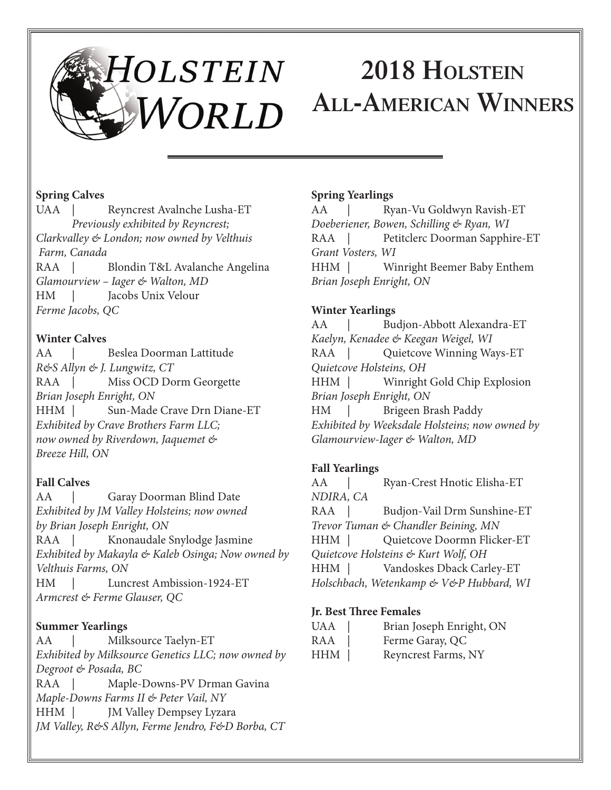# HOLSTEIN **2018 Holstein All-American Winners**

#### **Spring Calves**

UAA | Reyncrest Avalnche Lusha-ET *Previously exhibited by Reyncrest; Clarkvalley & London; now owned by Velthuis Farm, Canada* Blondin T&L Avalanche Angelina *Glamourview – Iager & Walton, MD* HM | Jacobs Unix Velour *Ferme Jacobs, QC*

#### **Winter Calves**

AA | Beslea Doorman Lattitude *R&S Allyn & J. Lungwitz, CT* RAA | Miss OCD Dorm Georgette *Brian Joseph Enright, ON* HHM | Sun-Made Crave Drn Diane-ET *Exhibited by Crave Brothers Farm LLC; now owned by Riverdown, Jaquemet & Breeze Hill, ON*

# **Fall Calves**

AA | Garay Doorman Blind Date *Exhibited by JM Valley Holsteins; now owned by Brian Joseph Enright, ON* RAA | Knonaudale Snylodge Jasmine *Exhibited by Makayla & Kaleb Osinga; Now owned by Velthuis Farms, ON* HM | Luncrest Ambission-1924-ET *Armcrest & Ferme Glauser, QC*

#### **Summer Yearlings**

AA | Milksource Taelyn-ET *Exhibited by Milksource Genetics LLC; now owned by Degroot & Posada, BC* RAA | Maple-Downs-PV Drman Gavina *Maple-Downs Farms II & Peter Vail, NY* HHM | JM Valley Dempsey Lyzara *JM Valley, R&S Allyn, Ferme Jendro, F&D Borba, CT*

#### **Spring Yearlings**

AA | Ryan-Vu Goldwyn Ravish-ET *Doeberiener, Bowen, Schilling & Ryan, WI* RAA | Petitclerc Doorman Sapphire-ET *Grant Vosters, WI* HHM | Winright Beemer Baby Enthem *Brian Joseph Enright, ON*

# **Winter Yearlings**

AA | Budjon-Abbott Alexandra-ET *Kaelyn, Kenadee & Keegan Weigel, WI* RAA | Quietcove Winning Ways-ET *Quietcove Holsteins, OH* HHM | Winright Gold Chip Explosion *Brian Joseph Enright, ON* HM | Brigeen Brash Paddy *Exhibited by Weeksdale Holsteins; now owned by Glamourview-Iager & Walton, MD*

# **Fall Yearlings**

AA | Ryan-Crest Hnotic Elisha-ET *NDIRA, CA* RAA | Budjon-Vail Drm Sunshine-ET *Trevor Tuman & Chandler Beining, MN* HHM | Quietcove Doormn Flicker-ET *Quietcove Holsteins & Kurt Wolf, OH* HHM | Vandoskes Dback Carley-ET *Holschbach, Wetenkamp & V&P Hubbard, WI*

#### **Jr. Best Three Females**

| UAA | Brian Joseph Enright, ON |
|-----|--------------------------|
| RAA | Ferme Garay, QC          |
| HHM | Reyncrest Farms, NY      |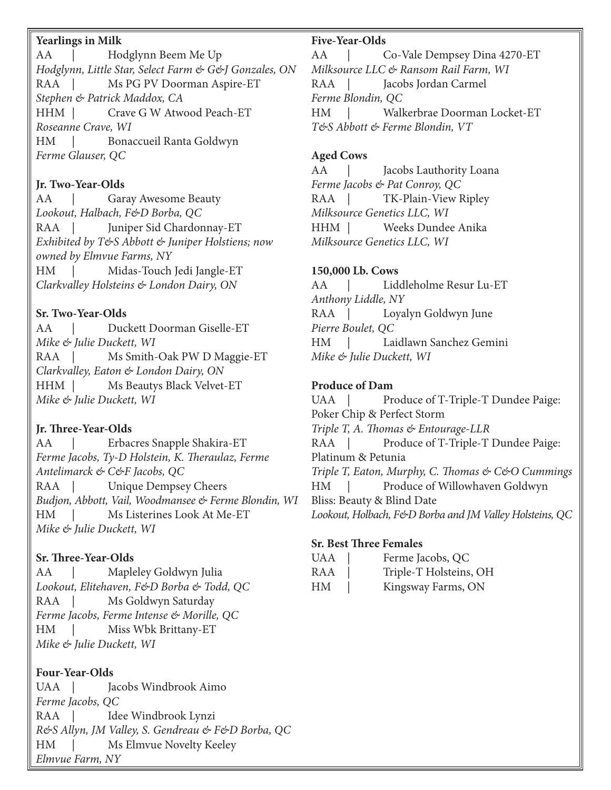#### **Yearlings in Milk**

AA | Hodglynn Beem Me Up *Hodglynn, Little Star, Select Farm & G&J Gonzales, ON* RAA | Ms PG PV Doorman Aspire-ET *Stephen & Patrick Maddox, CA* HHM | Crave G W Atwood Peach-ET *Roseanne Crave, WI* HM | Bonaccueil Ranta Goldwyn *Ferme Glauser, QC*

#### **Jr. Two-Year-Olds**

AA | Garay Awesome Beauty *Lookout, Halbach, F&D Borba, QC* RAA | Juniper Sid Chardonnay-ET *Exhibited by T&S Abbott & Juniper Holstiens; now owned by Elmvue Farms, NY* HM | Midas-Touch Jedi Jangle-ET *Clarkvalley Holsteins & London Dairy, ON*

#### **Sr. Two-Year-Olds**

AA | Duckett Doorman Giselle-ET *Mike & Julie Duckett, WI* RAA | Ms Smith-Oak PW D Maggie-ET *Clarkvalley, Eaton & London Dairy, ON* HHM | Ms Beautys Black Velvet-ET *Mike & Julie Duckett, WI*

# **Jr. Three-Year-Olds**

AA | Erbacres Snapple Shakira-ET *Ferme Jacobs, Ty-D Holstein, K. Theraulaz, Ferme Antelimarck & C&F Jacobs, QC* RAA | Unique Dempsey Cheers *Budjon, Abbott, Vail, Woodmansee & Ferme Blondin, WI* HM | Ms Listerines Look At Me-ET *Mike & Julie Duckett, WI*

# **Sr. Three-Year-Olds**

AA | Mapleley Goldwyn Julia *Lookout, Elitehaven, F&D Borba & Todd, QC* RAA | Ms Goldwyn Saturday *Ferme Jacobs, Ferme Intense & Morille, QC* HM | Miss Wbk Brittany-ET *Mike & Julie Duckett, WI*

# **Four-Year-Olds**

UAA | Jacobs Windbrook Aimo *Ferme Jacobs, QC* RAA | Idee Windbrook Lynzi *R&S Allyn, JM Valley, S. Gendreau & F&D Borba, QC* HM | Ms Elmvue Novelty Keeley *Elmvue Farm, NY*

#### **Five-Year-Olds**

AA | Co-Vale Dempsey Dina 4270-ET *Milksource LLC & Ransom Rail Farm, WI* RAA | Jacobs Jordan Carmel *Ferme Blondin, QC* HM | Walkerbrae Doorman Locket-ET *T&S Abbott & Ferme Blondin, VT*

#### **Aged Cows**

AA | Jacobs Lauthority Loana *Ferme Jacobs & Pat Conroy, QC* RAA | TK-Plain-View Ripley *Milksource Genetics LLC, WI* HHM | Weeks Dundee Anika *Milksource Genetics LLC, WI*

#### **150,000 Lb. Cows**

AA | Liddleholme Resur Lu-ET *Anthony Liddle, NY* RAA | Loyalyn Goldwyn June *Pierre Boulet, QC* HM | Laidlawn Sanchez Gemini *Mike & Julie Duckett, WI*

#### **Produce of Dam**

UAA | Produce of T-Triple-T Dundee Paige: Poker Chip & Perfect Storm *Triple T, A. Thomas & Entourage-LLR* RAA | Produce of T-Triple-T Dundee Paige: Platinum & Petunia *Triple T, Eaton, Murphy, C. Thomas & C&O Cummings* HM | Produce of Willowhaven Goldwyn Bliss: Beauty & Blind Date *Lookout, Holbach, F&D Borba and JM Valley Holsteins, QC*

#### **Sr. Best Three Females**

| <b>UAA</b> | Ferme Jacobs, QC       |
|------------|------------------------|
| RAA        | Triple-T Holsteins, OH |
| HM         | Kingsway Farms, ON     |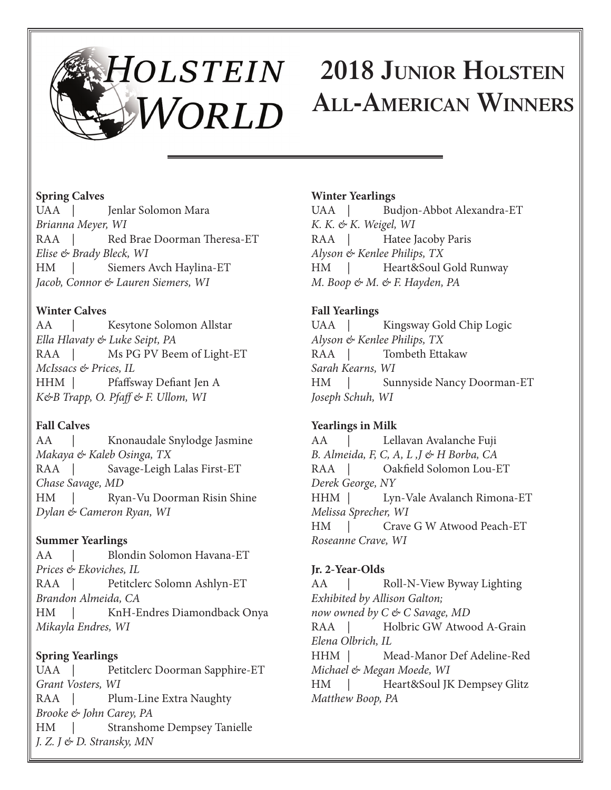# **2018 Junior Holstein All-American Winners**

# **Spring Calves**

UAA | Jenlar Solomon Mara *Brianna Meyer, WI* RAA | Red Brae Doorman Theresa-ET *Elise & Brady Bleck, WI* HM | Siemers Avch Haylina-ET *Jacob, Connor & Lauren Siemers, WI*

# **Winter Calves**

AA | Kesytone Solomon Allstar *Ella Hlavaty & Luke Seipt, PA* RAA | Ms PG PV Beem of Light-ET *McIssacs & Prices, IL* HHM | Pfaffsway Defiant Jen A *K&B Trapp, O. Pfaff & F. Ullom, WI*

# **Fall Calves**

AA | Knonaudale Snylodge Jasmine *Makaya & Kaleb Osinga, TX* RAA | Savage-Leigh Lalas First-ET *Chase Savage, MD* HM | Ryan-Vu Doorman Risin Shine *Dylan & Cameron Ryan, WI*

# **Summer Yearlings**

AA | Blondin Solomon Havana-ET *Prices & Ekoviches, IL* RAA | Petitclerc Solomn Ashlyn-ET *Brandon Almeida, CA* HM | KnH-Endres Diamondback Onya *Mikayla Endres, WI*

**Spring Yearlings** UAA | Petitclerc Doorman Sapphire-ET *Grant Vosters, WI* RAA | Plum-Line Extra Naughty *Brooke & John Carey, PA* HM | Stranshome Dempsey Tanielle *J. Z. J & D. Stransky, MN*

# **Winter Yearlings**

UAA | Budjon-Abbot Alexandra-ET *K. K. & K. Weigel, WI* RAA | Hatee Jacoby Paris *Alyson & Kenlee Philips, TX* HM | Heart&Soul Gold Runway *M. Boop & M. & F. Hayden, PA*

# **Fall Yearlings**

UAA | Kingsway Gold Chip Logic *Alyson & Kenlee Philips, TX* RAA | Tombeth Ettakaw *Sarah Kearns, WI* HM | Sunnyside Nancy Doorman-ET *Joseph Schuh, WI*

# **Yearlings in Milk**

AA | Lellavan Avalanche Fuji *B. Almeida, F, C, A, L ,J & H Borba, CA* RAA | Oakfield Solomon Lou-ET *Derek George, NY* HHM | Lyn-Vale Avalanch Rimona-ET *Melissa Sprecher, WI* HM | Crave G W Atwood Peach-ET *Roseanne Crave, WI*

# **Jr. 2-Year-Olds**

AA | Roll-N-View Byway Lighting *Exhibited by Allison Galton; now owned by C & C Savage, MD* RAA | Holbric GW Atwood A-Grain *Elena Olbrich, IL* HHM | Mead-Manor Def Adeline-Red *Michael & Megan Moede, WI* HM | Heart&Soul JK Dempsey Glitz *Matthew Boop, PA*